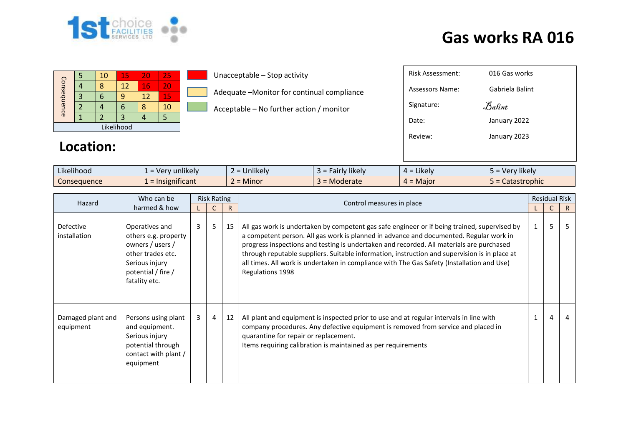

# **Gas works RA 016**

| Consequence |  | 10 | 15 | 20 | 25 |  |  |  |  |
|-------------|--|----|----|----|----|--|--|--|--|
|             |  |    | 12 | 16 | 20 |  |  |  |  |
|             |  |    |    | 12 | 15 |  |  |  |  |
|             |  |    | ۰  |    | 10 |  |  |  |  |
|             |  |    |    |    |    |  |  |  |  |
| Likelihood  |  |    |    |    |    |  |  |  |  |

#### Unacceptable – Stop activity

- Adequate –Monitor for continual compliance
- Acceptable No further action / monitor

| Risk Assessment: | 016 Gas works   |
|------------------|-----------------|
| Assessors Name:  | Gabriela Balint |
| Signature:       | Balint          |
| Date:            | January 2022    |
| Review:          | January 2023    |
|                  |                 |

#### **Location:**

| $\cdots$<br>$\cdots$<br>Likelihood | v unlikely v<br>-ver   | $\cdots$<br>$\sim$<br><b>Jnlikely</b><br>- | cairly likely<br>- - - - - | $\cdots$<br>$4 =$ Likely | Verv likelv  |
|------------------------------------|------------------------|--------------------------------------------|----------------------------|--------------------------|--------------|
| Consequence                        | .<br>$=$ Insignificant | A<br>$\sim$<br><b>Minor</b>                | Moderate                   | $4 =$ Major              | Catastrophic |

| Who can be<br>Hazard<br>harmed & how |                                                                                                                                          | <b>Risk Rating</b> |                |              | Control measures in place                                                                                                                                                                                                                                                                                                                                                                                                                                                                                    |  | <b>Residual Risk</b> |    |
|--------------------------------------|------------------------------------------------------------------------------------------------------------------------------------------|--------------------|----------------|--------------|--------------------------------------------------------------------------------------------------------------------------------------------------------------------------------------------------------------------------------------------------------------------------------------------------------------------------------------------------------------------------------------------------------------------------------------------------------------------------------------------------------------|--|----------------------|----|
|                                      |                                                                                                                                          |                    |                | $\mathsf{R}$ |                                                                                                                                                                                                                                                                                                                                                                                                                                                                                                              |  |                      | R. |
| Defective<br>installation            | Operatives and<br>others e.g. property<br>owners / users /<br>other trades etc.<br>Serious injury<br>potential / fire /<br>fatality etc. | 3                  | 5              | 15           | All gas work is undertaken by competent gas safe engineer or if being trained, supervised by<br>a competent person. All gas work is planned in advance and documented. Regular work in<br>progress inspections and testing is undertaken and recorded. All materials are purchased<br>through reputable suppliers. Suitable information, instruction and supervision is in place at<br>all times. All work is undertaken in compliance with The Gas Safety (Installation and Use)<br><b>Regulations 1998</b> |  | 5                    | 5  |
| Damaged plant and<br>equipment       | Persons using plant<br>and equipment.<br>Serious injury<br>potential through<br>contact with plant /<br>equipment                        | 3                  | $\overline{4}$ | 12           | All plant and equipment is inspected prior to use and at regular intervals in line with<br>company procedures. Any defective equipment is removed from service and placed in<br>quarantine for repair or replacement.<br>Items requiring calibration is maintained as per requirements                                                                                                                                                                                                                       |  | 4                    | 4  |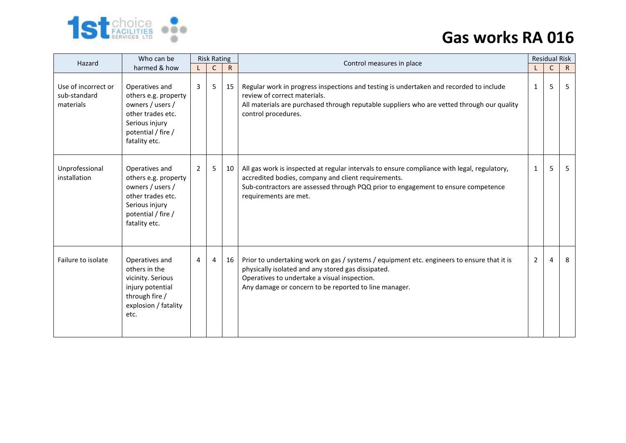

# **Gas works RA 016**

| Who can be<br>Hazard<br>harmed & how             |                                                                                                                                          | <b>Risk Rating</b> |              |              | Control measures in place                                                                                                                                                                                                                                        | <b>Residual Risk</b> |             |              |  |
|--------------------------------------------------|------------------------------------------------------------------------------------------------------------------------------------------|--------------------|--------------|--------------|------------------------------------------------------------------------------------------------------------------------------------------------------------------------------------------------------------------------------------------------------------------|----------------------|-------------|--------------|--|
|                                                  |                                                                                                                                          |                    | $\mathsf{C}$ | $\mathsf{R}$ |                                                                                                                                                                                                                                                                  |                      | $\mathsf C$ | $\mathsf{R}$ |  |
| Use of incorrect or<br>sub-standard<br>materials | Operatives and<br>others e.g. property<br>owners / users /<br>other trades etc.<br>Serious injury<br>potential / fire /<br>fatality etc. | 3                  | 5            | 15           | Regular work in progress inspections and testing is undertaken and recorded to include<br>review of correct materials.<br>All materials are purchased through reputable suppliers who are vetted through our quality<br>control procedures.                      | 1                    | 5           | 5            |  |
| Unprofessional<br>installation                   | Operatives and<br>others e.g. property<br>owners / users /<br>other trades etc.<br>Serious injury<br>potential / fire /<br>fatality etc. | 2                  | 5            | 10           | All gas work is inspected at regular intervals to ensure compliance with legal, regulatory,<br>accredited bodies, company and client requirements.<br>Sub-contractors are assessed through PQQ prior to engagement to ensure competence<br>requirements are met. | $\mathbf{1}$         | 5           | 5            |  |
| Failure to isolate                               | Operatives and<br>others in the<br>vicinity. Serious<br>injury potential<br>through fire /<br>explosion / fatality<br>etc.               | 4                  | 4            | 16           | Prior to undertaking work on gas / systems / equipment etc. engineers to ensure that it is<br>physically isolated and any stored gas dissipated.<br>Operatives to undertake a visual inspection.<br>Any damage or concern to be reported to line manager.        | 2                    | 4           | 8            |  |